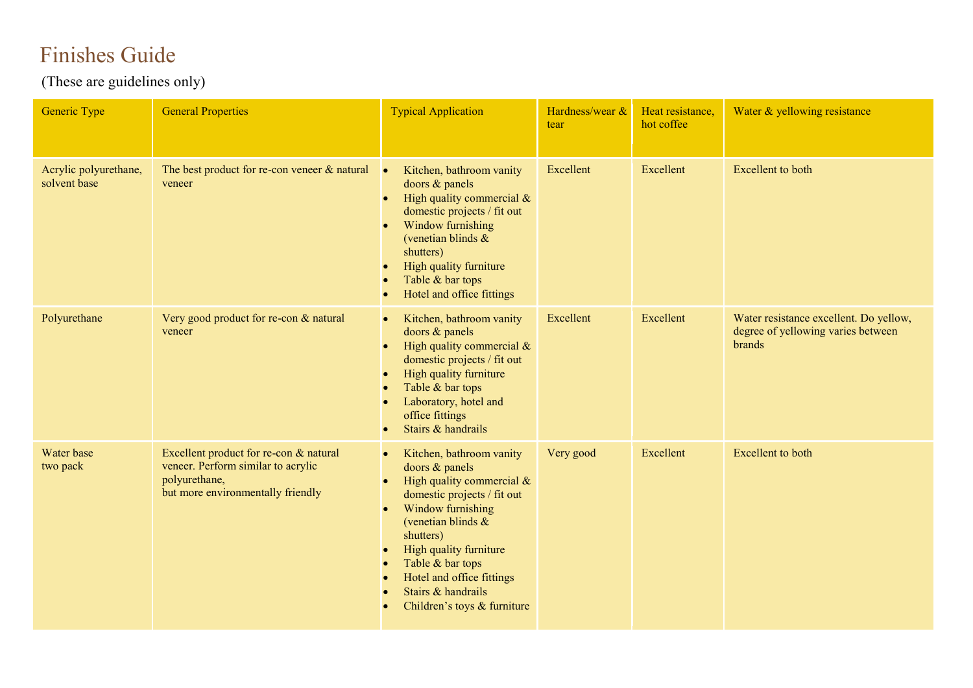## Finishes Guide

(These are guidelines only)

| <b>Generic Type</b>                   | <b>General Properties</b>                                                                                                          | <b>Typical Application</b>                                                                                                                                                                                                                                                                                        | Hardness/wear &<br>tear | Heat resistance,<br>hot coffee | Water & yellowing resistance                                                           |
|---------------------------------------|------------------------------------------------------------------------------------------------------------------------------------|-------------------------------------------------------------------------------------------------------------------------------------------------------------------------------------------------------------------------------------------------------------------------------------------------------------------|-------------------------|--------------------------------|----------------------------------------------------------------------------------------|
| Acrylic polyurethane,<br>solvent base | The best product for re-con veneer $\&$ natural<br>veneer                                                                          | Kitchen, bathroom vanity<br>$\bullet$<br>doors & panels<br>High quality commercial $\&$<br>domestic projects / fit out<br>Window furnishing<br>(venetian blinds $\&$<br>shutters)<br>High quality furniture<br>Table & bar tops<br>Hotel and office fittings                                                      | Excellent               | Excellent                      | <b>Excellent</b> to both                                                               |
| Polyurethane                          | Very good product for re-con & natural<br>veneer                                                                                   | Kitchen, bathroom vanity<br>$\bullet$<br>doors & panels<br>High quality commercial $\&$<br>domestic projects / fit out<br>High quality furniture<br>Table & bar tops<br>Laboratory, hotel and<br>office fittings<br>Stairs & handrails                                                                            | Excellent               | Excellent                      | Water resistance excellent. Do yellow,<br>degree of yellowing varies between<br>brands |
| Water base<br>two pack                | Excellent product for re-con & natural<br>veneer. Perform similar to acrylic<br>polyurethane,<br>but more environmentally friendly | Kitchen, bathroom vanity<br>$\bullet$<br>doors & panels<br>High quality commercial $\&$<br>domestic projects / fit out<br>Window furnishing<br>(venetian blinds $\&$<br>shutters)<br>High quality furniture<br>Table & bar tops<br>Hotel and office fittings<br>Stairs & handrails<br>Children's toys & furniture | Very good               | Excellent                      | <b>Excellent</b> to both                                                               |